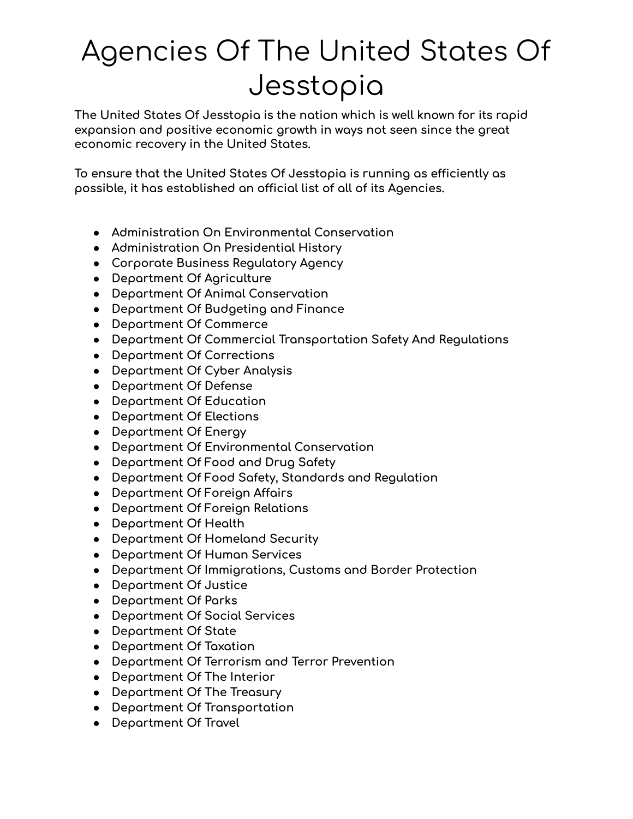## Agencies Of The United States Of Jesstopia

**The United States Of Jesstopia is the nation which is well known for its rapid expansion and positive economic growth in ways not seen since the great economic recovery in the United States.**

**To ensure that the United States Of Jesstopia is running as efficiently as possible, it has established an official list of all of its Agencies.**

- **● Administration On Environmental Conservation**
- **● Administration On Presidential History**
- **● Corporate Business Regulatory Agency**
- **● Department Of Agriculture**
- **● Department Of Animal Conservation**
- **● Department Of Budgeting and Finance**
- **● Department Of Commerce**
- **● Department Of Commercial Transportation Safety And Regulations**
- **● Department Of Corrections**
- **● Department Of Cyber Analysis**
- **● Department Of Defense**
- **● Department Of Education**
- **● Department Of Elections**
- **● Department Of Energy**
- **● Department Of Environmental Conservation**
- **● Department Of Food and Drug Safety**
- **● Department Of Food Safety, Standards and Regulation**
- **● Department Of Foreign Affairs**
- **● Department Of Foreign Relations**
- **● Department Of Health**
- **● Department Of Homeland Security**
- **● Department Of Human Services**
- **● Department Of Immigrations, Customs and Border Protection**
- **● Department Of Justice**
- **● Department Of Parks**
- **● Department Of Social Services**
- **● Department Of State**
- **● Department Of Taxation**
- **● Department Of Terrorism and Terror Prevention**
- **● Department Of The Interior**
- **● Department Of The Treasury**
- **● Department Of Transportation**
- **● Department Of Travel**